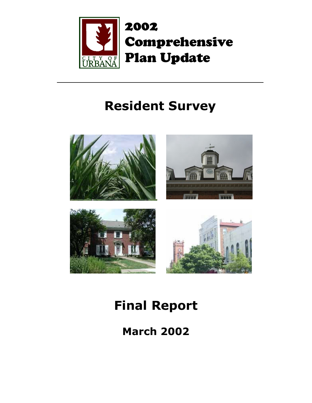

2002 Comprehensive Plan Update

# **Resident Survey**



# **Final Report**

**March 2002**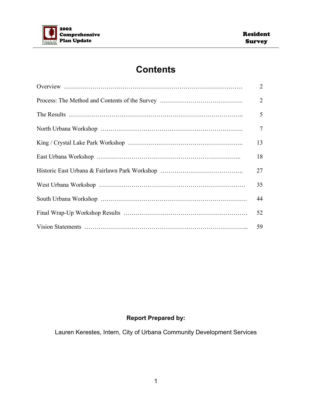

### **Contents**

| $\overline{2}$ |
|----------------|
| 2              |
| 5              |
| $\tau$         |
| 13             |
| 18             |
| 27             |
| 35             |
| 44             |
| 52             |
| 59             |

### **Report Prepared by:**

Lauren Kerestes, Intern, City of Urbana Community Development Services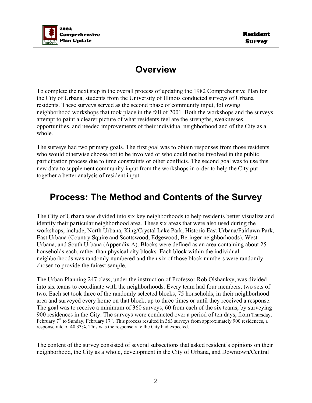

### **Overview**

To complete the next step in the overall process of updating the 1982 Comprehensive Plan for the City of Urbana, students from the University of Illinois conducted surveys of Urbana residents. These surveys served as the second phase of community input, following neighborhood workshops that took place in the fall of 2001. Both the workshops and the surveys attempt to paint a clearer picture of what residents feel are the strengths, weaknesses, opportunities, and needed improvements of their individual neighborhood and of the City as a whole.

The surveys had two primary goals. The first goal was to obtain responses from those residents who would otherwise choose not to be involved or who could not be involved in the public participation process due to time constraints or other conflicts. The second goal was to use this new data to supplement community input from the workshops in order to help the City put together a better analysis of resident input.

### **Process: The Method and Contents of the Survey**

The City of Urbana was divided into six key neighborhoods to help residents better visualize and identify their particular neighborhood area. These six areas that were also used during the workshops, include, North Urbana, King/Crystal Lake Park, Historic East Urbana/Fairlawn Park, East Urbana (Country Squire and Scottswood, Edgewood, Beringer neighborhoods), West Urbana, and South Urbana (Appendix A). Blocks were defined as an area containing about 25 households each, rather than physical city blocks. Each block within the individual neighborhoods was randomly numbered and then six of those block numbers were randomly chosen to provide the fairest sample.

The Urban Planning 247 class, under the instruction of Professor Rob Olshanksy, was divided into six teams to coordinate with the neighborhoods. Every team had four members, two sets of two. Each set took three of the randomly selected blocks, 75 households, in their neighborhood area and surveyed every home on that block, up to three times or until they received a response. The goal was to receive a minimum of 360 surveys, 60 from each of the six teams, by surveying 900 residences in the City. The surveys were conducted over a period of ten days, from Thursday, February  $7<sup>th</sup>$  to Sunday, February 17<sup>th</sup>. This process resulted in 363 surveys from approximately 900 residences, a response rate of 40.33%. This was the response rate the City had expected.

The content of the survey consisted of several subsections that asked resident's opinions on their neighborhood, the City as a whole, development in the City of Urbana, and Downtown/Central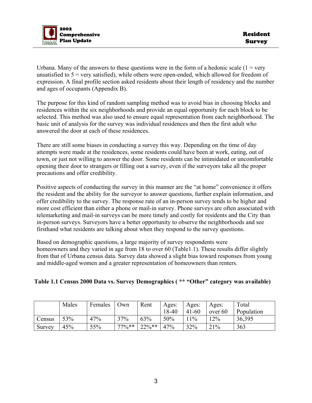

Urbana. Many of the answers to these questions were in the form of a hedonic scale  $(1 = \text{very }$ unsatisfied to  $5 =$  very satisfied), while others were open-ended, which allowed for freedom of expression. A final profile section asked residents about their length of residency and the number and ages of occupants (Appendix B).

The purpose for this kind of random sampling method was to avoid bias in choosing blocks and residences within the six neighborhoods and provide an equal opportunity for each block to be selected. This method was also used to ensure equal representation from each neighborhood. The basic unit of analysis for the survey was individual residences and then the first adult who answered the door at each of these residences.

There are still some biases in conducting a survey this way. Depending on the time of day attempts were made at the residences, some residents could have been at work, eating, out of town, or just not willing to answer the door. Some residents can be intimidated or uncomfortable opening their door to strangers or filling out a survey, even if the surveyors take all the proper precautions and offer credibility.

Positive aspects of conducting the survey in this manner are the "at home" convenience it offers the resident and the ability for the surveyor to answer questions, further explain information, and offer credibility to the survey. The response rate of an in-person survey tends to be higher and more cost efficient than either a phone or mail-in survey. Phone surveys are often associated with telemarketing and mail-in surveys can be more timely and costly for residents and the City than in-person surveys. Surveyors have a better opportunity to observe the neighborhoods and see firsthand what residents are talking about when they respond to the survey questions.

Based on demographic questions, a large majority of survey respondents were homeowners and they varied in age from 18 to over 60 (Table1.1). These results differ slightly from that of Urbana census data. Survey data showed a slight bias toward responses from young and middle-aged women and a greater representation of homeowners than renters.

#### **Table 1.1 Census 2000 Data vs. Survey Demographics ( \*\* "Other" category was available)**

|        | Males | Females | Own      | Rent      | Ages: | Ages:     | Ages:   | Total      |
|--------|-------|---------|----------|-----------|-------|-----------|---------|------------|
|        |       |         |          |           | 18-40 | $41 - 60$ | over 60 | Population |
| Census | 53%   | 47%     | 37%      | 63%       | 50%   | 11%       | 12%     | 36,395     |
| Survey | 45%   | 55%     | $77\%**$ | $22\%$ ** | 47%   | 32%       | 21%     | 363        |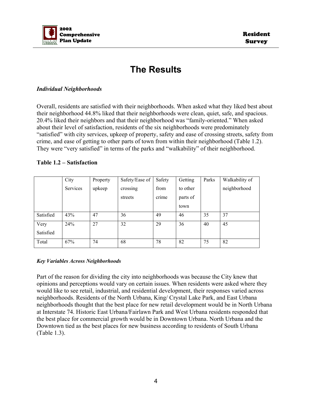

### **The Results**

#### *Individual Neighborhoods*

Overall, residents are satisfied with their neighborhoods. When asked what they liked best about their neighborhood 44.8% liked that their neighborhoods were clean, quiet, safe, and spacious. 20.4% liked their neighbors and that their neighborhood was "family-oriented." When asked about their level of satisfaction, residents of the six neighborhoods were predominately "satisfied" with city services, upkeep of property, safety and ease of crossing streets, safety from crime, and ease of getting to other parts of town from within their neighborhood (Table 1.2). They were "very satisfied" in terms of the parks and "walkability" of their neighborhood.

#### **Table 1.2 – Satisfaction**

|           | City     | Property | Safety/Ease of | Safety | Getting  | Parks | Walkability of |
|-----------|----------|----------|----------------|--------|----------|-------|----------------|
|           | Services | upkeep   | crossing       | from   | to other |       | neighborhood   |
|           |          |          | streets        | crime  | parts of |       |                |
|           |          |          |                |        | town     |       |                |
| Satisfied | 43%      | 47       | 36             | 49     | 46       | 35    | 37             |
| Very      | 24%      | 27       | 32             | 29     | 36       | 40    | 45             |
| Satisfied |          |          |                |        |          |       |                |
| Total     | 67%      | 74       | 68             | 78     | 82       | 75    | 82             |

#### *Key Variables Across Neighborhoods*

Part of the reason for dividing the city into neighborhoods was because the City knew that opinions and perceptions would vary on certain issues. When residents were asked where they would like to see retail, industrial, and residential development, their responses varied across neighborhoods. Residents of the North Urbana, King/ Crystal Lake Park, and East Urbana neighborhoods thought that the best place for new retail development would be in North Urbana at Interstate 74. Historic East Urbana/Fairlawn Park and West Urbana residents responded that the best place for commercial growth would be in Downtown Urbana. North Urbana and the Downtown tied as the best places for new business according to residents of South Urbana (Table 1.3).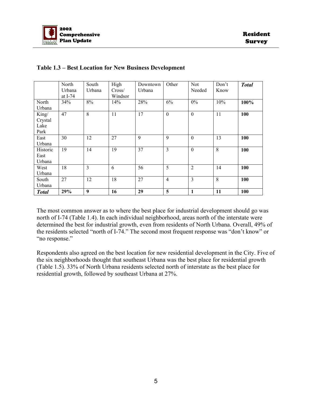

|                                  | North<br>Urbana<br>at I-74 | South<br>Urbana | High<br>Cross/<br>Windsor | Downtown<br>Urbana | Other          | <b>Not</b><br>Needed | Don't<br>Know | <b>Total</b> |
|----------------------------------|----------------------------|-----------------|---------------------------|--------------------|----------------|----------------------|---------------|--------------|
| North<br>Urbana                  | 34%                        | 8%              | 14%                       | 28%                | 6%             | $0\%$                | 10%           | 100%         |
| King/<br>Crystal<br>Lake<br>Park | 47                         | 8               | 11                        | 17                 | $\mathbf{0}$   | $\mathbf{0}$         | 11            | 100          |
| East<br>Urbana                   | 30                         | 12              | 27                        | 9                  | 9              | $\boldsymbol{0}$     | 13            | 100          |
| Historic<br>East<br>Urbana       | 19                         | 14              | 19                        | 37                 | 3              | $\boldsymbol{0}$     | 8             | 100          |
| West<br>Urbana                   | 18                         | 3               | 6                         | 56                 | 5              | $\overline{2}$       | 14            | 100          |
| South<br>Urbana                  | 27                         | 12              | 18                        | 27                 | $\overline{4}$ | $\overline{3}$       | 8             | 100          |
| <b>Total</b>                     | 29%                        | 9               | 16                        | 29                 | 5              | $\mathbf{1}$         | 11            | 100          |

#### **Table 1.3 – Best Location for New Business Development**

The most common answer as to where the best place for industrial development should go was north of I-74 (Table 1.4). In each individual neighborhood, areas north of the interstate were determined the best for industrial growth, even from residents of North Urbana. Overall, 49% of the residents selected "north of I-74." The second most frequent response was "don't know" or "no response."

Respondents also agreed on the best location for new residential development in the City. Five of the six neighborhoods thought that southeast Urbana was the best place for residential growth (Table 1.5). 33% of North Urbana residents selected north of interstate as the best place for residential growth, followed by southeast Urbana at 27%.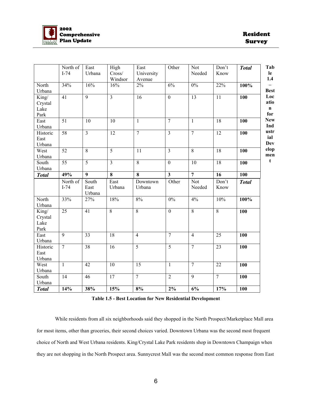

|                                  | North of<br>$I-74$ | East<br>Urbana          | High<br>Cross/<br>Windsor | East<br>University<br>Avenue | Other                   | Not<br>Needed        | Don't<br>Know   | <b>Total</b> |
|----------------------------------|--------------------|-------------------------|---------------------------|------------------------------|-------------------------|----------------------|-----------------|--------------|
| North<br>Urbana                  | 34%                | 16%                     | 16%                       | $2\%$                        | 6%                      | $0\%$                | 22%             | 100%         |
| King/<br>Crystal<br>Lake<br>Park | 41                 | $\overline{9}$          | $\overline{3}$            | $\overline{16}$              | $\mathbf{0}$            | $\overline{13}$      | 11              | <b>100</b>   |
| East<br>Urbana                   | 51                 | 10                      | 10                        | $\mathbf{1}$                 | $\overline{7}$          | $\mathbf{1}$         | 18              | 100          |
| Historic<br>East<br>Urbana       | $\overline{58}$    | $\overline{3}$          | $\overline{12}$           | $\overline{7}$               | $\overline{3}$          | $\overline{7}$       | 12              | 100          |
| West<br>Urbana                   | $\overline{52}$    | $\overline{8}$          | $\overline{5}$            | $\overline{11}$              | $\overline{3}$          | $\overline{8}$       | $\overline{18}$ | 100          |
| South<br>Urbana                  | 55                 | $\overline{5}$          | $\overline{3}$            | $\overline{8}$               | $\mathbf{0}$            | 10                   | $\overline{18}$ | 100          |
| <b>Total</b>                     | 49%                | $\overline{9}$          | $\overline{\mathbf{8}}$   | $\overline{\mathbf{8}}$      | $\overline{\mathbf{3}}$ | $\overline{7}$       | $\overline{16}$ | 100          |
|                                  | North of<br>$I-74$ | South<br>East<br>Urbana | East<br>Urbana            | Downtown<br>Urbana           | Other                   | <b>Not</b><br>Needed | Don't<br>Know   | <b>Total</b> |
| North<br>Urbana                  | 33%                | 27%                     | 18%                       | 8%                           | 0%                      | 4%                   | 10%             | 100%         |
| King/<br>Crystal<br>Lake<br>Park | 25                 | $\overline{41}$         | $\overline{8}$            | $\overline{8}$               | $\overline{0}$          | $\overline{8}$       | $\overline{8}$  | 100          |
| East<br>Urbana                   | $\overline{9}$     | $\overline{33}$         | 18                        | $\overline{4}$               | $\overline{7}$          | $\overline{4}$       | 25              | 100          |
| Historic<br>East<br>Urbana       | $\overline{7}$     | $\overline{38}$         | 16                        | $\overline{5}$               | $\overline{5}$          | $\overline{7}$       | $\overline{23}$ | 100          |
| West<br>Urbana                   | $\mathbf{1}$       | $\overline{42}$         | 10                        | $\overline{15}$              | $\overline{1}$          | $\overline{7}$       | $\overline{22}$ | 100          |
| South<br>Urbana                  | 14                 | 46                      | $\overline{17}$           | $\overline{7}$               | $\overline{2}$          | $\overline{9}$       | $\overline{7}$  | 100          |
| <b>Total</b>                     | 14%                | 38%                     | 15%                       | 8%                           | $2\%$                   | 6%                   | 17%             | 100          |

**Table 1.5 - Best Location for New Residential Development**

 While residents from all six neighborhoods said they shopped in the North Prospect/Marketplace Mall area for most items, other than groceries, their second choices varied. Downtown Urbana was the second most frequent choice of North and West Urbana residents. King/Crystal Lake Park residents shop in Downtown Champaign when they are not shopping in the North Prospect area. Sunnycrest Mall was the second most common response from East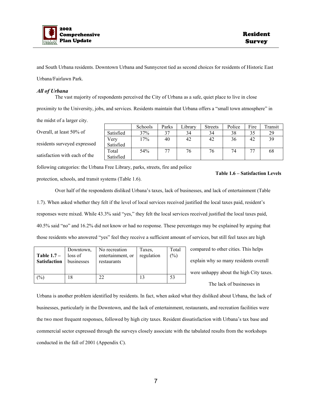

and South Urbana residents. Downtown Urbana and Sunnycrest tied as second choices for residents of Historic East Urbana/Fairlawn Park.

#### *All of Urbana*

 The vast majority of respondents perceived the City of Urbana as a safe, quiet place to live in close proximity to the University, jobs, and services. Residents maintain that Urbana offers a "small town atmosphere" in the midst of a larger city.

Overall, at least 50% of

residents surveyed expressed

satisfaction with each of the

|           | Schools | Parks | Library | <b>Streets</b> | Police | Fire | Transit |
|-----------|---------|-------|---------|----------------|--------|------|---------|
| Satisfied | 37%     | 37    | 34      | 34             | 38     | 35   | 29      |
| Very      | 17%     | 40    | 42      | 42             | 36     | 42   | 39      |
| Satisfied |         |       |         |                |        |      |         |
| Total     | 54%     |       | 76      | 76             | 74     | 77   | 68      |
| Satisfied |         |       |         |                |        |      |         |

following categories: the Urbana Free Library, parks, streets, fire and police protection, schools, and transit systems (Table 1.6).

#### **Table 1.6 – Satisfaction Levels**

 Over half of the respondents disliked Urbana's taxes, lack of businesses, and lack of entertainment (Table 1.7). When asked whether they felt if the level of local services received justified the local taxes paid, resident's responses were mixed. While 43.3% said "yes," they felt the local services received justified the local taxes paid, 40.5% said "no" and 16.2% did not know or had no response. These percentages may be explained by arguing that those residents who answered "yes" feel they receive a sufficient amount of services, but still feel taxes are high

| Table $1.7-$<br><b>Satisfaction</b> | Downtown,<br>loss of<br>businesses | No recreation<br>entertainment, or<br>restaurants | Taxes.<br>regulation | Total<br>$\frac{(0)}{0}$ |
|-------------------------------------|------------------------------------|---------------------------------------------------|----------------------|--------------------------|
| (%)                                 |                                    | 22                                                |                      | 53                       |

compared to other cities. This helps explain why so many residents overall were unhappy about the high City taxes. The lack of businesses in

Urbana is another problem identified by residents. In fact, when asked what they disliked about Urbana, the lack of businesses, particularly in the Downtown, and the lack of entertainment, restaurants, and recreation facilities were the two most frequent responses, followed by high city taxes. Resident dissatisfaction with Urbana's tax base and commercial sector expressed through the surveys closely associate with the tabulated results from the workshops conducted in the fall of 2001 (Appendix C).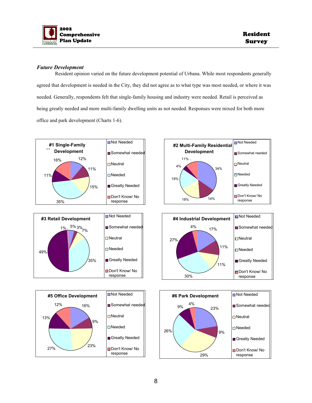

#### *Future Development*

 Resident opinion varied on the future development potential of Urbana. While most respondents generally agreed that development is needed in the City, they did not agree as to what type was most needed, or where it was needed. Generally, respondents felt that single-family housing and industry were needed. Retail is perceived as being greatly needed and more multi-family dwelling units as not needed. Responses were mixed for both more office and park development (Charts 1-6).

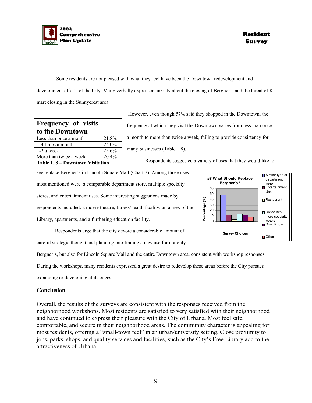

 Some residents are not pleased with what they feel have been the Downtown redevelopment and development efforts of the City. Many verbally expressed anxiety about the closing of Bergner's and the threat of Kmart closing in the Sunnycrest area.

| <b>Frequency of visits</b><br>to the Downtown |       |
|-----------------------------------------------|-------|
| Less than once a month                        | 21.8% |
| 1-4 times a month                             | 24.0% |
| $1-2$ a week                                  | 25.6% |
| More than twice a week                        | 20.4% |
| Table 1.8 – Downtown Visitation               |       |

 However, even though 57% said they shopped in the Downtown, the frequency at which they visit the Downtown varies from less than once a month to more than twice a week, failing to provide consistency for many businesses (Table 1.8).

Respondents suggested a variety of uses that they would like to

see replace Bergner's in Lincoln Square Mall (Chart 7). Among those uses most mentioned were, a comparable department store, multiple specialty stores, and entertainment uses. Some interesting suggestions made by respondents included: a movie theatre, fitness/health facility, an annex of the Library, apartments, and a furthering education facility.



 Respondents urge that the city devote a considerable amount of careful strategic thought and planning into finding a new use for not only

Bergner's, but also for Lincoln Square Mall and the entire Downtown area, consistent with workshop responses.

During the workshops, many residents expressed a great desire to redevelop these areas before the City pursues

expanding or developing at its edges.

#### **Conclusion**

Overall, the results of the surveys are consistent with the responses received from the neighborhood workshops. Most residents are satisfied to very satisfied with their neighborhood and have continued to express their pleasure with the City of Urbana. Most feel safe, comfortable, and secure in their neighborhood areas. The community character is appealing for most residents, offering a "small-town feel" in an urban/university setting. Close proximity to jobs, parks, shops, and quality services and facilities, such as the City's Free Library add to the attractiveness of Urbana.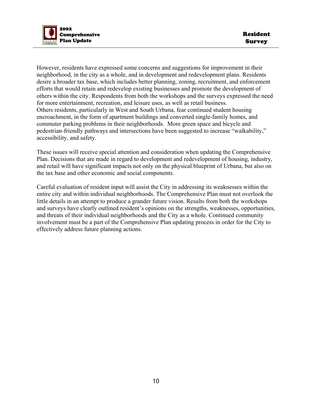

However, residents have expressed some concerns and suggestions for improvement in their neighborhood, in the city as a whole, and in development and redevelopment plans. Residents desire a broader tax base, which includes better planning, zoning, recruitment, and enforcement efforts that would retain and redevelop existing businesses and promote the development of others within the city. Respondents from both the workshops and the surveys expressed the need for more entertainment, recreation, and leisure uses, as well as retail business. Others residents, particularly in West and South Urbana, fear continued student housing encroachment, in the form of apartment buildings and converted single-family homes, and commuter parking problems in their neighborhoods. More green space and bicycle and pedestrian-friendly pathways and intersections have been suggested to increase "walkability," accessibility, and safety.

These issues will receive special attention and consideration when updating the Comprehensive Plan. Decisions that are made in regard to development and redevelopment of housing, industry, and retail will have significant impacts not only on the physical blueprint of Urbana, but also on the tax base and other economic and social components.

Careful evaluation of resident input will assist the City in addressing its weaknesses within the entire city and within individual neighborhoods. The Comprehensive Plan must not overlook the little details in an attempt to produce a grander future vision. Results from both the workshops and surveys have clearly outlined resident's opinions on the strengths, weaknesses, opportunities, and threats of their individual neighborhoods and the City as a whole. Continued community involvement must be a part of the Comprehensive Plan updating process in order for the City to effectively address future planning actions.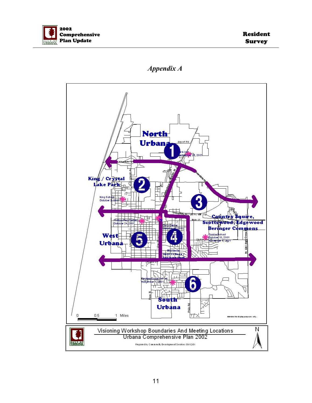



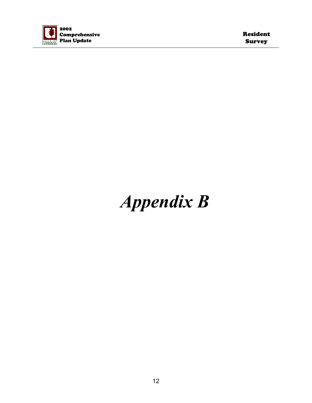

Resident Survey

# *Appendix B*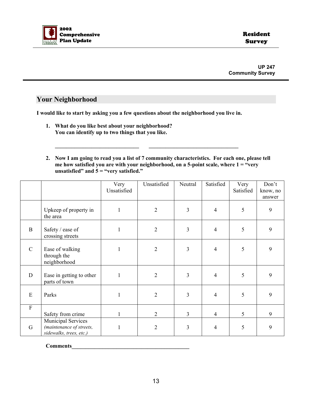

#### **Your Neighborhood**

**I would like to start by asking you a few questions about the neighborhood you live in.** 

- **1. What do you like best about your neighborhood? You can identify up to two things that you like.**
- **2. Now I am going to read you a list of 7 community characteristics. For each one, please tell me how satisfied you are with your neighborhood, on a 5-point scale, where 1 = "very unsatisfied" and 5 = "very satisfied."**

|                           |                                                                                  | Very<br>Unsatisfied | Unsatisfied    | Neutral | Satisfied      | Very<br>Satisfied | Don't<br>know, no<br>answer |
|---------------------------|----------------------------------------------------------------------------------|---------------------|----------------|---------|----------------|-------------------|-----------------------------|
|                           | Upkeep of property in<br>the area                                                | $\mathbf{1}$        | $\overline{2}$ | 3       | $\overline{4}$ | 5                 | 9                           |
| $\mathbf B$               | Safety / ease of<br>crossing streets                                             | 1                   | $\sqrt{2}$     | 3       | $\overline{4}$ | 5                 | 9                           |
| $\mathcal{C}$             | Ease of walking<br>through the<br>neighborhood                                   |                     | $\overline{2}$ | 3       | $\overline{4}$ | 5                 | 9                           |
| D                         | Ease in getting to other<br>parts of town                                        |                     | $\overline{2}$ | 3       | $\overline{4}$ | 5                 | 9                           |
| E                         | Parks                                                                            |                     | $\overline{2}$ | 3       | $\overline{4}$ | 5                 | 9                           |
| $\boldsymbol{\mathrm{F}}$ | Safety from crime                                                                |                     | $\overline{2}$ | 3       | $\overline{4}$ | 5                 | 9                           |
| G                         | <b>Municipal Services</b><br>(maintenance of streets,<br>sidewalks, trees, etc.) | 1                   | $\overline{2}$ | 3       | $\overline{4}$ | 5                 | 9                           |

**Comments**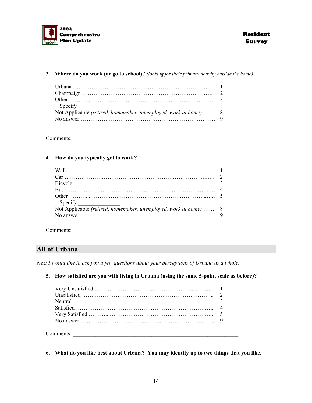

#### **3. Where do you work (or go to school)?** *(looking for their primary activity outside the home)*

| Not Applicable (retired, homemaker, unemployed, work at home)  8 |  |
|------------------------------------------------------------------|--|
|                                                                  |  |

Comments: \_\_\_\_\_\_\_\_\_\_\_\_\_\_\_\_\_\_\_\_\_\_\_\_\_\_\_\_\_\_\_\_\_\_\_\_\_\_\_\_\_\_\_\_\_\_\_\_\_\_\_\_\_\_\_\_\_\_\_

#### **4. How do you typically get to work?**

| Not Applicable (retired, homemaker, unemployed, work at home)  8 |  |
|------------------------------------------------------------------|--|

Comments: \_\_\_\_\_\_\_\_\_\_\_\_\_\_\_\_\_\_\_\_\_\_\_\_\_\_\_\_\_\_\_\_\_\_\_\_\_\_\_\_\_\_\_\_\_\_\_\_\_\_\_\_\_\_\_\_\_\_\_

#### **All of Urbana**

*Next I would like to ask you a few questions about your perceptions of Urbana as a whole.* 

**5. How satisfied are you with living in Urbana (using the same 5-point scale as before)?** 

**6. What do you like best about Urbana? You may identify up to two things that you like.**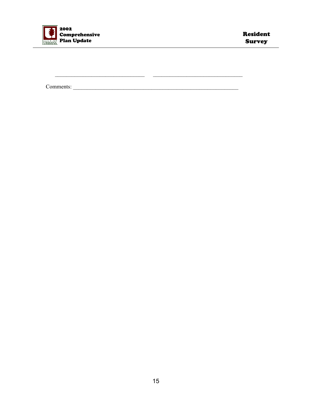

 $\overline{a}$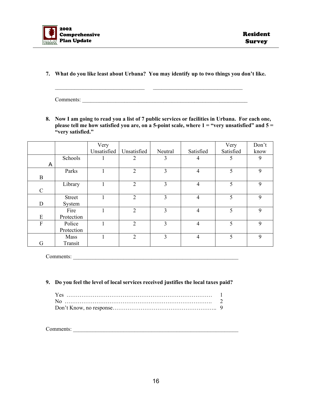

**7. What do you like least about Urbana? You may identify up to two things you don't like.** 

\_\_\_\_\_\_\_\_\_\_\_\_\_\_\_\_\_\_\_\_\_\_\_\_\_\_\_\_\_\_\_\_ \_\_\_\_\_\_\_\_\_\_\_\_\_\_\_\_\_\_\_\_\_\_\_\_\_\_\_\_\_\_\_\_

Comments:

**8. Now I am going to read you a list of 7 public services or facilities in Urbana. For each one, please tell me how satisfied you are, on a 5-point scale, where 1 = "very unsatisfied" and 5 = "very satisfied."** 

|               |               | Very        |                |                |                | Very      | Don't |
|---------------|---------------|-------------|----------------|----------------|----------------|-----------|-------|
|               |               | Unsatisfied | Unsatisfied    | Neutral        | Satisfied      | Satisfied | know  |
|               | Schools       |             | $\overline{2}$ | 3              | 4              | 5         | 9     |
| A             |               |             |                |                |                |           |       |
|               | Parks         |             | $\overline{2}$ | $\overline{3}$ | $\overline{4}$ | 5         | 9     |
| B             |               |             |                |                |                |           |       |
|               | Library       |             | $\overline{2}$ | $\overline{3}$ | $\overline{4}$ | 5         | 9     |
| $\mathcal{C}$ |               |             |                |                |                |           |       |
|               | <b>Street</b> |             | $\overline{2}$ | $\overline{3}$ | $\overline{4}$ | 5         | 9     |
| D             | System        |             |                |                |                |           |       |
|               | Fire          |             | $\overline{2}$ | $\overline{3}$ | $\overline{4}$ | 5         | 9     |
| E             | Protection    |             |                |                |                |           |       |
| ${\bf F}$     | Police        |             | $\overline{2}$ | $\overline{3}$ | $\overline{4}$ | 5         | 9     |
|               | Protection    |             |                |                |                |           |       |
|               | Mass          |             | 2              | 3              | $\overline{4}$ | 5         | 9     |
| G             | Transit       |             |                |                |                |           |       |

Comments: \_\_\_\_\_\_\_\_\_\_\_\_\_\_\_\_\_\_\_\_\_\_\_\_\_\_\_\_\_\_\_\_\_\_\_\_\_\_\_\_\_\_\_\_\_\_\_\_\_\_\_\_\_\_\_\_\_\_\_

#### **9. Do you feel the level of local services received justifies the local taxes paid?**

Comments: \_\_\_\_\_\_\_\_\_\_\_\_\_\_\_\_\_\_\_\_\_\_\_\_\_\_\_\_\_\_\_\_\_\_\_\_\_\_\_\_\_\_\_\_\_\_\_\_\_\_\_\_\_\_\_\_\_\_\_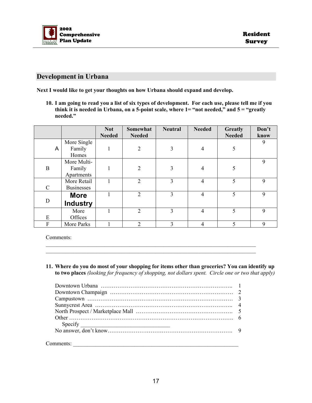

#### **Development in Urbana**

**Next I would like to get your thoughts on how Urbana should expand and develop.** 

**10. I am going to read you a list of six types of development. For each use, please tell me if you think it is needed in Urbana, on a 5-point scale, where 1= "not needed," and 5 = "greatly needed."** 

|               |                   | <b>Not</b>    | Somewhat       | <b>Neutral</b> | <b>Needed</b> | <b>Greatly</b> | Don't |
|---------------|-------------------|---------------|----------------|----------------|---------------|----------------|-------|
|               |                   | <b>Needed</b> | <b>Needed</b>  |                |               | <b>Needed</b>  | know  |
|               | More Single       |               |                |                |               |                | 9     |
| A             | Family            |               | $\overline{2}$ | 3              | 4             | 5              |       |
|               | Homes             |               |                |                |               |                |       |
|               | More Multi-       |               |                |                |               |                | 9     |
| B             | Family            |               | $\overline{2}$ | 3              | 4             | 5              |       |
|               | Apartments        |               |                |                |               |                |       |
|               | More Retail       |               | $\overline{2}$ | 3              | 4             | 5              | 9     |
| $\mathcal{C}$ | <b>Businesses</b> |               |                |                |               |                |       |
|               | <b>More</b>       |               | $\overline{2}$ | 3              | 4             | 5              | 9     |
| $\mathbf D$   | <b>Industry</b>   |               |                |                |               |                |       |
|               | More              |               | $\overline{2}$ | 3              | 4             | 5              | 9     |
| E             | Offices           |               |                |                |               |                |       |
| F             | More Parks        |               | $\overline{2}$ | 3              | 4             | $\varsigma$    | 9     |

Comments:

**11. Where do you do most of your shopping for items other than groceries? You can identify up to two places** *(looking for frequency of shopping, not dollars spent. Circle one or two that apply)*

 $\mathcal{L}_\text{max} = \frac{1}{2} \sum_{i=1}^n \mathcal{L}_\text{max} = \frac{1}{2} \sum_{i=1}^n \mathcal{L}_\text{max} = \frac{1}{2} \sum_{i=1}^n \mathcal{L}_\text{max} = \frac{1}{2} \sum_{i=1}^n \mathcal{L}_\text{max} = \frac{1}{2} \sum_{i=1}^n \mathcal{L}_\text{max} = \frac{1}{2} \sum_{i=1}^n \mathcal{L}_\text{max} = \frac{1}{2} \sum_{i=1}^n \mathcal{L}_\text{max} = \frac{1}{2} \sum_{i=$  $\mathcal{L}_\text{max}$  and  $\mathcal{L}_\text{max}$  and  $\mathcal{L}_\text{max}$  and  $\mathcal{L}_\text{max}$  and  $\mathcal{L}_\text{max}$  and  $\mathcal{L}_\text{max}$ 

| Specify |
|---------|
|         |

Comments: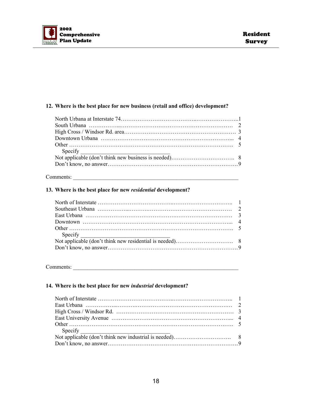

#### **12. Where is the best place for new business (retail and office) development?**

#### Comments:

#### **13. Where is the best place for new** *residential* **development?**

Comments:

#### **14. Where is the best place for new** *industrial* **development?**

| Specify $\frac{1}{\sqrt{1-\frac{1}{2}}\sqrt{1-\frac{1}{2}}\sqrt{1-\frac{1}{2}}\sqrt{1-\frac{1}{2}}}}$ |  |
|-------------------------------------------------------------------------------------------------------|--|
|                                                                                                       |  |
|                                                                                                       |  |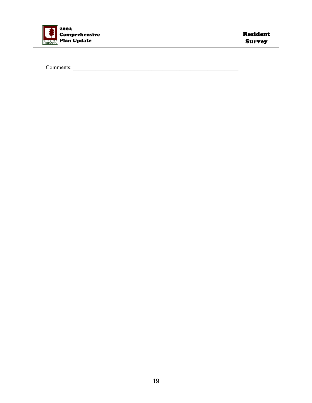

Comments: \_\_\_\_\_\_\_\_\_\_\_\_\_\_\_\_\_\_\_\_\_\_\_\_\_\_\_\_\_\_\_\_\_\_\_\_\_\_\_\_\_\_\_\_\_\_\_\_\_\_\_\_\_\_\_\_\_\_\_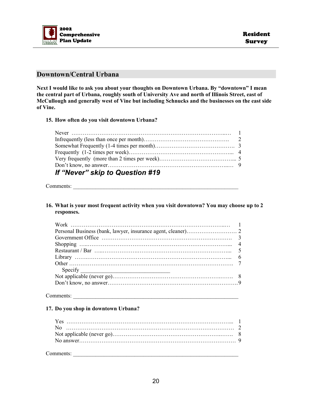

#### **Downtown/Central Urbana**

**Next I would like to ask you about your thoughts on Downtown Urbana. By "downtown" I mean the central part of Urbana, roughly south of University Ave and north of Illinois Street, east of McCullough and generally west of Vine but including Schnucks and the businesses on the east side of Vine.** 

#### **15. How often do you visit downtown Urbana?**

| If "Never" skip to Question #19 |  |
|---------------------------------|--|

Comments:

**16. What is your most frequent activity when you visit downtown? You may choose up to 2 responses.** 

| $\text{Specify}$ |  |
|------------------|--|
|                  |  |
|                  |  |

#### Comments:

#### **17. Do you shop in downtown Urbana?**

| Comments <sup>.</sup> |  |
|-----------------------|--|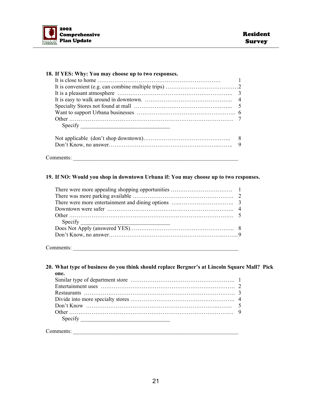

| Specify $\qquad$ |                |
|------------------|----------------|
|                  | 8 <sup>8</sup> |
|                  | $\mathbf Q$    |

#### **19. If NO: Would you shop in downtown Urbana if: You may choose up to two responses.**

Comments:

#### **20. What type of business do you think should replace Bergner's at Lincoln Square Mall? Pick one.**

| Specify $\qquad \qquad$ |  |
|-------------------------|--|
|                         |  |

Comments: \_\_\_\_\_\_\_\_\_\_\_\_\_\_\_\_\_\_\_\_\_\_\_\_\_\_\_\_\_\_\_\_\_\_\_\_\_\_\_\_\_\_\_\_\_\_\_\_\_\_\_\_\_\_\_\_\_\_\_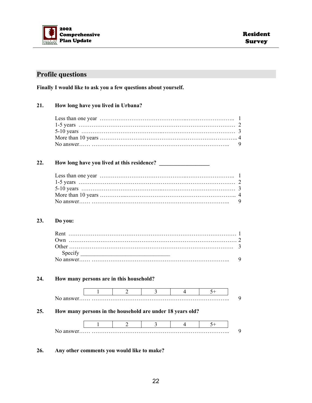

#### **Profile questions**

**Finally I would like to ask you a few questions about yourself.** 

#### **21. How long have you lived in Urbana?**

#### **22. How long have you lived at this residence? \_\_\_\_\_\_\_\_\_\_\_\_\_\_\_\_\_\_**

#### **23. Do you:**

| l Ither (                                                                                                                        |  |
|----------------------------------------------------------------------------------------------------------------------------------|--|
| <u> 1980 - Jan Sterling von Berling von Berling von Berling von Berling von Berling von Berling von Berling von B</u><br>Specity |  |
|                                                                                                                                  |  |

#### **24. How many persons are in this household?**



**25. How many persons in the household are under 18 years old?** 



#### **26. Any other comments you would like to make?**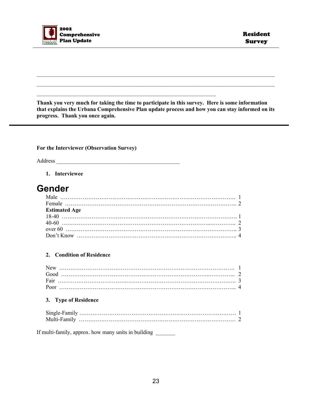

**Thank you very much for taking the time to participate in this survey. Here is some information that explains the Urbana Comprehensive Plan update process and how you can stay informed on its progress. Thank you once again.** 

 $\mathcal{L}_\text{max} = \frac{1}{2} \sum_{i=1}^n \mathcal{L}_\text{max}(\mathbf{z}_i - \mathbf{z}_i)$ 

 $\mathcal{L}_\text{max} = \mathcal{L}_\text{max} = \mathcal{L}_\text{max} = \mathcal{L}_\text{max} = \mathcal{L}_\text{max} = \mathcal{L}_\text{max} = \mathcal{L}_\text{max} = \mathcal{L}_\text{max} = \mathcal{L}_\text{max} = \mathcal{L}_\text{max} = \mathcal{L}_\text{max} = \mathcal{L}_\text{max} = \mathcal{L}_\text{max} = \mathcal{L}_\text{max} = \mathcal{L}_\text{max} = \mathcal{L}_\text{max} = \mathcal{L}_\text{max} = \mathcal{L}_\text{max} = \mathcal{$  $\mathcal{L}_\text{max} = \mathcal{L}_\text{max} = \mathcal{L}_\text{max} = \mathcal{L}_\text{max} = \mathcal{L}_\text{max} = \mathcal{L}_\text{max} = \mathcal{L}_\text{max} = \mathcal{L}_\text{max} = \mathcal{L}_\text{max} = \mathcal{L}_\text{max} = \mathcal{L}_\text{max} = \mathcal{L}_\text{max} = \mathcal{L}_\text{max} = \mathcal{L}_\text{max} = \mathcal{L}_\text{max} = \mathcal{L}_\text{max} = \mathcal{L}_\text{max} = \mathcal{L}_\text{max} = \mathcal{$ 

#### **For the Interviewer (Observation Survey)**

Address \_\_\_\_\_\_\_\_\_\_\_\_\_\_\_\_\_\_\_\_\_\_\_\_\_\_\_\_\_\_\_\_\_\_\_\_\_\_\_\_\_\_\_\_

#### **1. Interviewee**

### **Gender**

| <b>Estimated Age</b> |  |
|----------------------|--|
|                      |  |
|                      |  |
|                      |  |
|                      |  |

#### **2. Condition of Residence**

#### **3. Type of Residence**

If multi-family, approx. how many units in building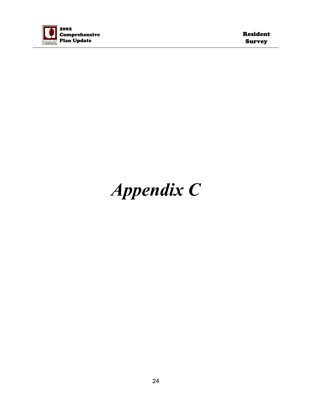

Resident Survey

# *Appendix C*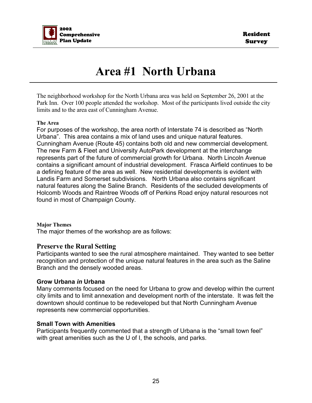

# **Area #1 North Urbana**

The neighborhood workshop for the North Urbana area was held on September 26, 2001 at the Park Inn. Over 100 people attended the workshop. Most of the participants lived outside the city limits and to the area east of Cunningham Avenue.

#### **The Area**

For purposes of the workshop, the area north of Interstate 74 is described as "North Urbana". This area contains a mix of land uses and unique natural features. Cunningham Avenue (Route 45) contains both old and new commercial development. The new Farm & Fleet and University AutoPark development at the interchange represents part of the future of commercial growth for Urbana. North Lincoln Avenue contains a significant amount of industrial development. Frasca Airfield continues to be a defining feature of the area as well. New residential developments is evident with Landis Farm and Somerset subdivisions. North Urbana also contains significant natural features along the Saline Branch. Residents of the secluded developments of Holcomb Woods and Raintree Woods off of Perkins Road enjoy natural resources not found in most of Champaign County.

#### **Major Themes**

The major themes of the workshop are as follows:

#### **Preserve the Rural Setting**

Participants wanted to see the rural atmosphere maintained. They wanted to see better recognition and protection of the unique natural features in the area such as the Saline Branch and the densely wooded areas.

#### **Grow Urbana** *in* **Urbana**

Many comments focused on the need for Urbana to grow and develop within the current city limits and to limit annexation and development north of the interstate. It was felt the downtown should continue to be redeveloped but that North Cunningham Avenue represents new commercial opportunities.

#### **Small Town with Amenities**

Participants frequently commented that a strength of Urbana is the "small town feel" with great amenities such as the U of I, the schools, and parks.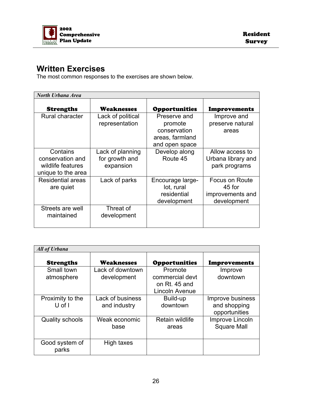

### **Written Exercises**

The most common responses to the exercises are shown below.

| <b>North Urbana Area</b>                                                |                                                 |                                                                              |                                                             |
|-------------------------------------------------------------------------|-------------------------------------------------|------------------------------------------------------------------------------|-------------------------------------------------------------|
| <b>Strengths</b>                                                        | Weaknesses                                      | <b>Opportunities</b>                                                         | <b>Improvements</b>                                         |
| Rural character                                                         | Lack of political<br>representation             | Preserve and<br>promote<br>conservation<br>areas, farmland<br>and open space | Improve and<br>preserve natural<br>areas                    |
| Contains<br>conservation and<br>wildlife features<br>unique to the area | Lack of planning<br>for growth and<br>expansion | Develop along<br>Route 45                                                    | Allow access to<br>Urbana library and<br>park programs      |
| <b>Residential areas</b><br>are quiet                                   | Lack of parks                                   | Encourage large-<br>lot, rural<br>residential<br>development                 | Focus on Route<br>45 for<br>improvements and<br>development |
| Streets are well<br>maintained                                          | Threat of<br>development                        |                                                                              |                                                             |

| <b>All of Urbana</b>           |                                  |                                                               |                                                   |
|--------------------------------|----------------------------------|---------------------------------------------------------------|---------------------------------------------------|
| <b>Strengths</b>               | <b>Weaknesses</b>                | <b>Opportunities</b>                                          | <b>Improvements</b>                               |
| Small town<br>atmosphere       | Lack of downtown<br>development  | Promote<br>commercial devt<br>on Rt. 45 and<br>Lincoln Avenue | Improve<br>downtown                               |
| Proximity to the<br>$U$ of $I$ | Lack of business<br>and industry | Build-up<br>downtown                                          | Improve business<br>and shopping<br>opportunities |
| <b>Quality schools</b>         | Weak economic<br>base            | Retain wildlife<br>areas                                      | Improve Lincoln<br><b>Square Mall</b>             |
| Good system of<br>parks        | High taxes                       |                                                               |                                                   |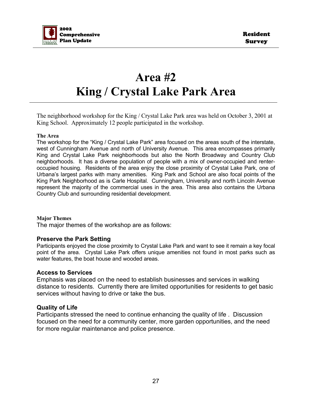

# **Area #2 King / Crystal Lake Park Area**

The neighborhood workshop for the King / Crystal Lake Park area was held on October 3, 2001 at King School. Approximately 12 people participated in the workshop.

#### **The Area**

The workshop for the "King / Crystal Lake Park" area focused on the areas south of the interstate, west of Cunningham Avenue and north of University Avenue. This area encompasses primarily King and Crystal Lake Park neighborhoods but also the North Broadway and Country Club neighborhoods. It has a diverse population of people with a mix of owner-occupied and renteroccupied housing. Residents of the area enjoy the close proximity of Crystal Lake Park, one of Urbana's largest parks with many amenities. King Park and School are also focal points of the King Park Neighborhood as is Carle Hospital. Cunningham, University and north Lincoln Avenue represent the majority of the commercial uses in the area. This area also contains the Urbana Country Club and surrounding residential development.

#### **Major Themes**

The major themes of the workshop are as follows:

#### **Preserve the Park Setting**

Participants enjoyed the close proximity to Crystal Lake Park and want to see it remain a key focal point of the area. Crystal Lake Park offers unique amenities not found in most parks such as water features, the boat house and wooded areas.

#### **Access to Services**

Emphasis was placed on the need to establish businesses and services in walking distance to residents. Currently there are limited opportunities for residents to get basic services without having to drive or take the bus.

#### **Quality of Life**

Participants stressed the need to continue enhancing the quality of life . Discussion focused on the need for a community center, more garden opportunities, and the need for more regular maintenance and police presence.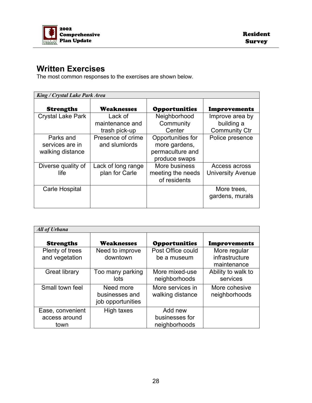

### **Written Exercises**

The most common responses to the exercises are shown below.

| King / Crystal Lake Park Area                    |                                             |                                                                         |                                                       |  |
|--------------------------------------------------|---------------------------------------------|-------------------------------------------------------------------------|-------------------------------------------------------|--|
| <b>Strengths</b>                                 | <b>Weaknesses</b>                           | <b>Opportunities</b>                                                    | <b>Improvements</b>                                   |  |
| <b>Crystal Lake Park</b>                         | Lack of<br>maintenance and<br>trash pick-up | Neighborhood<br>Community<br>Center                                     | Improve area by<br>building a<br><b>Community Ctr</b> |  |
| Parks and<br>services are in<br>walking distance | Presence of crime<br>and slumlords          | Opportunities for<br>more gardens,<br>permaculture and<br>produce swaps | Police presence                                       |  |
| Diverse quality of<br>life.                      | Lack of long range<br>plan for Carle        | More business<br>meeting the needs<br>of residents                      | Access across<br><b>University Avenue</b>             |  |
| Carle Hospital                                   |                                             |                                                                         | More trees,<br>gardens, murals                        |  |

| <b>All of Urbana</b>                      |                                                  |                                            |                                               |
|-------------------------------------------|--------------------------------------------------|--------------------------------------------|-----------------------------------------------|
| <b>Strengths</b>                          | <b>Weaknesses</b>                                | <b>Opportunities</b>                       | Improvements                                  |
| Plenty of trees<br>and vegetation         | Need to improve<br>downtown                      | Post Office could<br>be a museum           | More regular<br>infrastructure<br>maintenance |
| Great library                             | Too many parking<br>lots                         | More mixed-use<br>neighborhoods            | Ability to walk to<br>services                |
| Small town feel                           | Need more<br>businesses and<br>job opportunities | More services in<br>walking distance       | More cohesive<br>neighborhoods                |
| Ease, convenient<br>access around<br>town | High taxes                                       | Add new<br>businesses for<br>neighborhoods |                                               |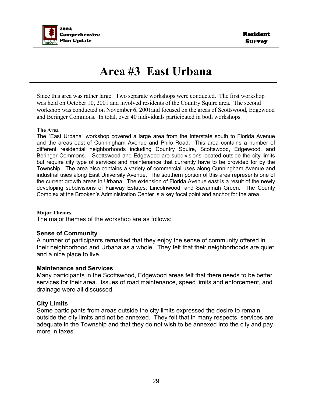

# **Area #3 East Urbana**

Since this area was rather large. Two separate workshops were conducted. The first workshop was held on October 10, 2001 and involved residents of the Country Squire area. The second workshop was conducted on November 6, 2001and focused on the areas of Scottswood, Edgewood and Beringer Commons. In total, over 40 individuals participated in both workshops.

#### **The Area**

The "East Urbana" workshop covered a large area from the Interstate south to Florida Avenue and the areas east of Cunningham Avenue and Philo Road. This area contains a number of different residential neighborhoods including Country Squire, Scottswood, Edgewood, and Beringer Commons. Scottswood and Edgewood are subdivisions located outside the city limits but require city type of services and maintenance that currently have to be provided for by the Township. The area also contains a variety of commercial uses along Cunningham Avenue and industrial uses along East University Avenue. The southern portion of this area represents one of the current growth areas in Urbana. The extension of Florida Avenue east is a result of the newly developing subdivisions of Fairway Estates, Lincolnwood, and Savannah Green. The County Complex at the Brooken's Administration Center is a key focal point and anchor for the area.

#### **Major Themes**

The major themes of the workshop are as follows:

#### **Sense of Community**

A number of participants remarked that they enjoy the sense of community offered in their neighborhood and Urbana as a whole. They felt that their neighborhoods are quiet and a nice place to live.

#### **Maintenance and Services**

Many participants in the Scottswood, Edgewood areas felt that there needs to be better services for their area. Issues of road maintenance, speed limits and enforcement, and drainage were all discussed.

#### **City Limits**

Some participants from areas outside the city limits expressed the desire to remain outside the city limits and not be annexed. They felt that in many respects, services are adequate in the Township and that they do not wish to be annexed into the city and pay more in taxes.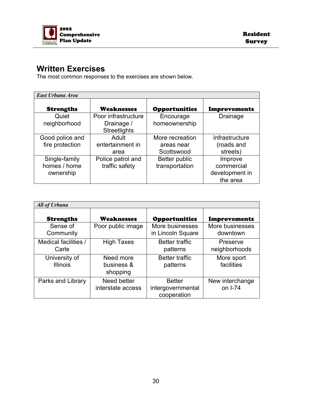

### **Written Exercises**

The most common responses to the exercises are shown below.

| East Urbana Area                           |                                                          |                                             |                                                     |
|--------------------------------------------|----------------------------------------------------------|---------------------------------------------|-----------------------------------------------------|
| <b>Strengths</b>                           | <b>Weaknesses</b>                                        | <b>Opportunities</b>                        | <b>Improvements</b>                                 |
| Quiet<br>neighborhood                      | Poor infrastructure<br>Drainage /<br><b>Streetlights</b> | Encourage<br>homeownership                  | Drainage                                            |
| Good police and<br>fire protection         | Adult<br>entertainment in<br>area                        | More recreation<br>areas near<br>Scottswood | Infrastructure<br>(roads and<br>streets)            |
| Single-family<br>homes / home<br>ownership | Police patrol and<br>traffic safety                      | Better public<br>transportation             | Improve<br>commercial<br>development in<br>the area |

| <b>All of Urbana</b>             |                                     |                                                   |                             |
|----------------------------------|-------------------------------------|---------------------------------------------------|-----------------------------|
| <b>Strengths</b>                 | <b>Weaknesses</b>                   | <b>Opportunities</b>                              | <b>Improvements</b>         |
| Sense of<br>Community            | Poor public image                   | More businesses<br>in Lincoln Square              | More businesses<br>downtown |
| Medical facilities /<br>Carle    | <b>High Taxes</b>                   | <b>Better traffic</b><br>patterns                 | Preserve<br>neighborhoods   |
| University of<br><b>Illinois</b> | Need more<br>business &<br>shopping | <b>Better traffic</b><br>patterns                 | More sport<br>facilities    |
| Parks and Library                | Need better<br>interstate access    | <b>Better</b><br>intergovernmental<br>cooperation | New interchange<br>on I-74  |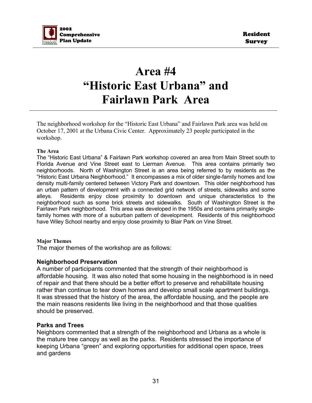

# **Area #4 "Historic East Urbana" and Fairlawn Park Area**

The neighborhood workshop for the "Historic East Urbana" and Fairlawn Park area was held on October 17, 2001 at the Urbana Civic Center. Approximately 23 people participated in the workshop.

#### **The Area**

The "Historic East Urbana" & Fairlawn Park workshop covered an area from Main Street south to Florida Avenue and Vine Street east to Lierman Avenue. This area contains primarily two neighborhoods. North of Washington Street is an area being referred to by residents as the "Historic East Urbana Neighborhood." It encompasses a mix of older single-family homes and low density multi-family centered between Victory Park and downtown. This older neighborhood has an urban pattern of development with a connected grid network of streets, sidewalks and some alleys. Residents enjoy close proximity to downtown and unique characteristics to the neighborhood such as some brick streets and sidewalks. South of Washington Street is the Fairlawn Park neighborhood. This area was developed in the 1950s and contains primarily singlefamily homes with more of a suburban pattern of development. Residents of this neighborhood have Wiley School nearby and enjoy close proximity to Blair Park on Vine Street.

#### **Major Themes**

The major themes of the workshop are as follows:

#### **Neighborhood Preservation**

A number of participants commented that the strength of their neighborhood is affordable housing. It was also noted that some housing in the neighborhood is in need of repair and that there should be a better effort to preserve and rehabilitate housing rather than continue to tear down homes and develop small scale apartment buildings. It was stressed that the history of the area, the affordable housing, and the people are the main reasons residents like living in the neighborhood and that those qualities should be preserved.

#### **Parks and Trees**

Neighbors commented that a strength of the neighborhood and Urbana as a whole is the mature tree canopy as well as the parks. Residents stressed the importance of keeping Urbana "green" and exploring opportunities for additional open space, trees and gardens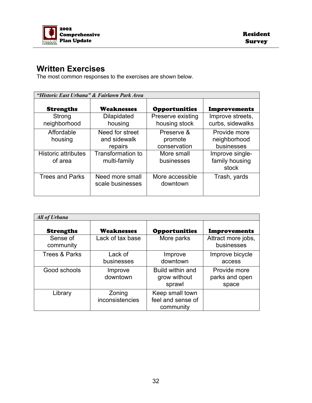

### **Written Exercises**

The most common responses to the exercises are shown below.

| "Historic East Urbana" & Fairlawn Park Area |                                            |                                       |                                            |
|---------------------------------------------|--------------------------------------------|---------------------------------------|--------------------------------------------|
| <b>Strengths</b>                            | <b>Weaknesses</b>                          | <b>Opportunities</b>                  | <b>Improvements</b>                        |
| Strong<br>neighborhood                      | <b>Dilapidated</b><br>housing              | Preserve existing<br>housing stock    | Improve streets,<br>curbs, sidewalks       |
| Affordable<br>housing                       | Need for street<br>and sidewalk<br>repairs | Preserve &<br>promote<br>conservation | Provide more<br>neighborhood<br>businesses |
| <b>Historic attributes</b><br>of area       | <b>Transformation to</b><br>multi-family   | More small<br>businesses              | Improve single-<br>family housing<br>stock |
| <b>Trees and Parks</b>                      | Need more small<br>scale businesses        | More accessible<br>downtown           | Trash, yards                               |

| <b>All of Urbana</b>     |                           |                                                   |                                         |
|--------------------------|---------------------------|---------------------------------------------------|-----------------------------------------|
| <b>Strengths</b>         | <b>Weaknesses</b>         | <b>Opportunities</b>                              | <b>Improvements</b>                     |
| Sense of<br>community    | Lack of tax base          | More parks                                        | Attract more jobs,<br>businesses        |
| <b>Trees &amp; Parks</b> | Lack of<br>businesses     | Improve<br>downtown                               | Improve bicycle<br>access               |
| Good schools             | Improve<br>downtown       | Build within and<br>grow without<br>sprawl        | Provide more<br>parks and open<br>space |
| Library                  | Zoning<br>inconsistencies | Keep small town<br>feel and sense of<br>community |                                         |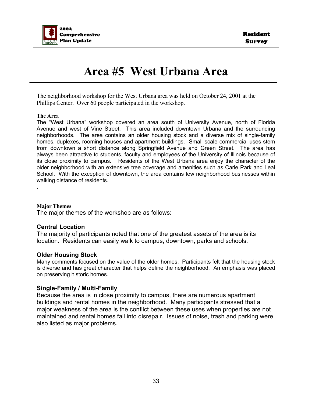

# **Area #5 West Urbana Area**

The neighborhood workshop for the West Urbana area was held on October 24, 2001 at the Phillips Center. Over 60 people participated in the workshop.

#### **The Area**

The "West Urbana" workshop covered an area south of University Avenue, north of Florida Avenue and west of Vine Street. This area included downtown Urbana and the surrounding neighborhoods. The area contains an older housing stock and a diverse mix of single-family homes, duplexes, rooming houses and apartment buildings. Small scale commercial uses stem from downtown a short distance along Springfield Avenue and Green Street. The area has always been attractive to students, faculty and employees of the University of Illinois because of its close proximity to campus. Residents of the West Urbana area enjoy the character of the older neighborhood with an extensive tree coverage and amenities such as Carle Park and Leal School. With the exception of downtown, the area contains few neighborhood businesses within walking distance of residents.

#### **Major Themes**

.

The major themes of the workshop are as follows:

#### **Central Location**

The majority of participants noted that one of the greatest assets of the area is its location. Residents can easily walk to campus, downtown, parks and schools.

#### **Older Housing Stock**

Many comments focused on the value of the older homes. Participants felt that the housing stock is diverse and has great character that helps define the neighborhood. An emphasis was placed on preserving historic homes.

#### **Single-Family / Multi-Family**

Because the area is in close proximity to campus, there are numerous apartment buildings and rental homes in the neighborhood. Many participants stressed that a major weakness of the area is the conflict between these uses when properties are not maintained and rental homes fall into disrepair. Issues of noise, trash and parking were also listed as major problems.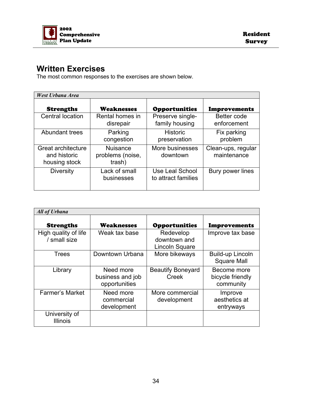

### **Written Exercises**

The most common responses to the exercises are shown below.

| <b>West Urbana Area</b>                             |                                               |                                        |                                   |
|-----------------------------------------------------|-----------------------------------------------|----------------------------------------|-----------------------------------|
| <b>Strengths</b>                                    | <b>Weaknesses</b>                             | <b>Opportunities</b>                   | <b>Improvements</b>               |
| <b>Central location</b>                             | Rental homes in<br>disrepair                  | Preserve single-<br>family housing     | Better code<br>enforcement        |
| Abundant trees                                      | Parking<br>congestion                         | <b>Historic</b><br>preservation        | Fix parking<br>problem            |
| Great architecture<br>and historic<br>housing stock | <b>Nuisance</b><br>problems (noise,<br>trash) | More businesses<br>downtown            | Clean-ups, regular<br>maintenance |
| <b>Diversity</b>                                    | Lack of small<br>businesses                   | Use Leal School<br>to attract families | Bury power lines                  |

| <b>All of Urbana</b>                 |                                                |                                             |                                              |
|--------------------------------------|------------------------------------------------|---------------------------------------------|----------------------------------------------|
| <b>Strengths</b>                     | Weaknesses                                     | <b>Opportunities</b>                        | <b>Improvements</b>                          |
| High quality of life<br>/ small size | Weak tax base                                  | Redevelop<br>downtown and<br>Lincoln Square | Improve tax base                             |
| <b>Trees</b>                         | Downtown Urbana                                | More bikeways                               | Build-up Lincoln<br><b>Square Mall</b>       |
| Library                              | Need more<br>business and job<br>opportunities | <b>Beautify Boneyard</b><br>Creek           | Become more<br>bicycle friendly<br>community |
| <b>Farmer's Market</b>               | Need more<br>commercial<br>development         | More commercial<br>development              | Improve<br>aesthetics at<br>entryways        |
| University of<br><b>Illinois</b>     |                                                |                                             |                                              |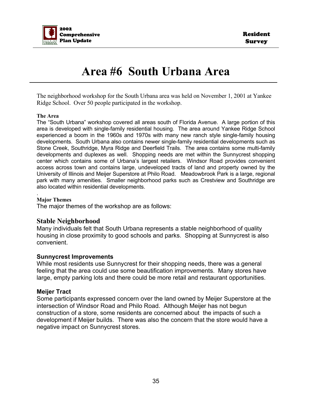

# **Area #6 South Urbana Area**

The neighborhood workshop for the South Urbana area was held on November 1, 2001 at Yankee Ridge School. Over 50 people participated in the workshop.

#### **The Area**

The "South Urbana" workshop covered all areas south of Florida Avenue. A large portion of this area is developed with single-family residential housing. The area around Yankee Ridge School experienced a boom in the 1960s and 1970s with many new ranch style single-family housing developments. South Urbana also contains newer single-family residential developments such as Stone Creek, Southridge, Myra Ridge and Deerfield Trails. The area contains some multi-family developments and duplexes as well. Shopping needs are met within the Sunnycrest shopping center which contains some of Urbana's largest retailers. Windsor Road provides convenient access across town and contains large, undeveloped tracts of land and property owned by the University of Illinois and Meijer Superstore at Philo Road. Meadowbrook Park is a large, regional park with many amenities. Smaller neighborhood parks such as Crestview and Southridge are also located within residential developments.

#### **Major Themes**

.

The major themes of the workshop are as follows:

#### **Stable Neighborhood**

Many individuals felt that South Urbana represents a stable neighborhood of quality housing in close proximity to good schools and parks. Shopping at Sunnycrest is also convenient.

#### **Sunnycrest Improvements**

While most residents use Sunnycrest for their shopping needs, there was a general feeling that the area could use some beautification improvements. Many stores have large, empty parking lots and there could be more retail and restaurant opportunities.

#### **Meijer Tract**

Some participants expressed concern over the land owned by Meijer Superstore at the intersection of Windsor Road and Philo Road. Although Meijer has not begun construction of a store, some residents are concerned about the impacts of such a development if Meijer builds. There was also the concern that the store would have a negative impact on Sunnycrest stores.